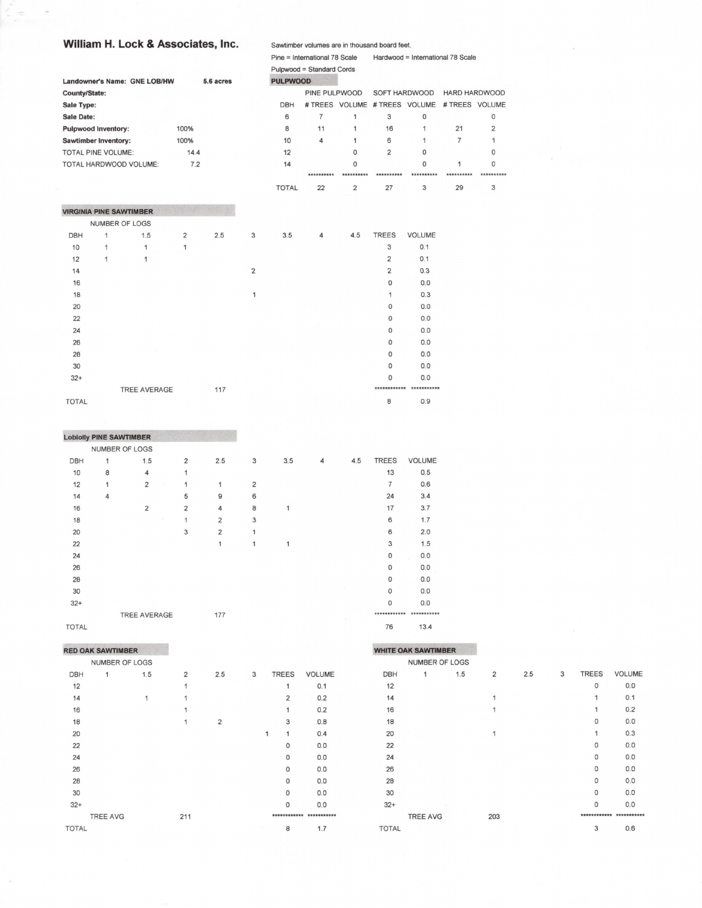## William H. Lock & Associates, Inc.

|                                |                |                              |                |           |                |                 | Pulpwood = Standard Cords |             |                               |              |                |                |
|--------------------------------|----------------|------------------------------|----------------|-----------|----------------|-----------------|---------------------------|-------------|-------------------------------|--------------|----------------|----------------|
|                                |                | Landowner's Name: GNE LOB/HW |                | 5.6 acres |                | <b>PULPWOOD</b> |                           |             |                               |              |                |                |
| County/State:                  |                |                              |                |           |                |                 | PINE PULPWOOD             |             | SOFT HARDWOOD                 |              | HARD HARDWOOD  |                |
| Sale Type:                     |                |                              |                |           |                | <b>DBH</b>      |                           |             | # TREES VOLUME # TREES VOLUME |              | # TREES VOLUME |                |
| <b>Sale Date:</b>              |                |                              |                |           |                | 6               | $\overline{7}$            | 1           | 3                             | 0            |                | $\mathbf 0$    |
| <b>Pulpwood Inventory:</b>     |                |                              | 100%           |           |                | 8               | 11                        | 1           | 16                            | $\mathbf{1}$ | 21             | $\overline{2}$ |
| <b>Sawtimber Inventory:</b>    |                |                              | 100%           |           |                | 10              | 4                         | 1           | 6                             | $\mathbf{1}$ | $\overline{7}$ | 1              |
| <b>TOTAL PINE VOLUME:</b>      |                |                              | 14.4           |           |                | 12              |                           | $\Omega$    | $\overline{2}$                | $\Omega$     |                | 0              |
|                                |                | TOTAL HARDWOOD VOLUME:       | 7.2            |           |                | 14              |                           | $\mathbf 0$ |                               | 0            | 1              | $\mathbf{0}$   |
|                                |                |                              |                |           |                |                 | **********                | **********  | **********                    | **********   | **********     |                |
|                                |                |                              |                |           |                | <b>TOTAL</b>    | 22                        | 2           | 27                            | 3            | 29             | 3              |
| <b>VIRGINIA PINE SAWTIMBER</b> |                |                              |                |           |                |                 |                           |             |                               |              |                |                |
|                                | NUMBER OF LOGS |                              |                |           |                |                 |                           |             |                               |              |                |                |
| <b>DBH</b>                     | $\mathbf{1}$   | 1.5                          | $\overline{2}$ | 2.5       | 3              | 3.5             | 4                         | 4.5         | <b>TREES</b>                  | VOLUME       |                |                |
| 10                             | $\mathbf{1}$   | 1                            | 1              |           |                |                 |                           |             | 3                             | 0.1          |                |                |
| 12                             | 1              | 1                            |                |           |                |                 |                           |             | $\overline{2}$                | 0.1          |                |                |
| 14                             |                |                              |                |           | $\overline{2}$ |                 |                           |             | $\overline{2}$                | 0.3          |                |                |
| 16                             |                |                              |                |           |                |                 |                           |             | 0                             | 0.0          |                |                |
| 18                             |                |                              |                |           | 1              |                 |                           |             | $\mathbf{1}$                  | 0.3          |                |                |
| 20                             |                |                              |                |           |                |                 |                           |             | 0                             | 0.0          |                |                |
| 22                             |                |                              |                |           |                |                 |                           |             | 0                             | 0.0          |                |                |
| 24                             |                |                              |                |           |                |                 |                           |             | 0                             | 0.0          |                |                |
| 26                             |                |                              |                |           |                |                 |                           |             | 0                             | 0.0          |                |                |
| 28                             |                |                              |                |           |                |                 |                           |             | $\mathbf 0$                   | 0.0          |                |                |
| 30                             |                |                              |                |           |                |                 |                           |             | 0                             | 0.0          |                |                |
| $32+$                          |                |                              |                |           |                |                 |                           |             | $\mathbf 0$                   | 0.0          |                |                |
|                                |                | <b>TREE AVERAGE</b>          |                | 117       |                |                 |                           |             | ************                  | ***********  |                |                |
| <b>TOTAL</b>                   |                |                              |                |           |                |                 |                           |             | 8                             | 0.9          |                |                |

Sawtimber volumes are in thousand board feet.

Pine = International 78 Scale Hardwood = International 78 Scale

|            | <b>Lobiolly PINE SAWTIMBER</b> |                     |                |                |                |                |     |                |     |              |               |
|------------|--------------------------------|---------------------|----------------|----------------|----------------|----------------|-----|----------------|-----|--------------|---------------|
|            | NUMBER OF LOGS                 |                     |                |                |                |                |     |                |     |              |               |
| <b>DBH</b> | 1                              |                     | 1.5            | $\overline{2}$ | 2.5            | 3              | 3.5 | $\overline{4}$ | 4.5 | <b>TREES</b> | <b>VOLUME</b> |
| 10         | 8                              |                     | $\overline{4}$ | 1              |                |                |     |                |     | 13           | 0.5           |
| 12         | 1                              |                     | $\overline{2}$ | 1              | 1              | $\overline{2}$ |     |                |     | 7            | 0.6           |
| 14         | 4                              |                     |                | 5              | 9              | 6              |     |                |     | 24           | 3.4           |
| 16         |                                |                     | $\overline{2}$ | $\overline{2}$ | 4              | 8              | 1   |                |     | 17           | 3.7           |
| 18         |                                |                     |                | 1              | $\overline{2}$ | 3              |     |                |     | 6            | 1.7           |
| 20         |                                |                     |                | 3              | $\overline{2}$ | 1              |     |                |     | 6            | 2.0           |
| 22         |                                |                     |                |                | 1              | 1              | 1   |                |     | 3            | 1.5           |
| 24         |                                |                     |                |                |                |                |     |                |     | $\mathbf 0$  | 0.0           |
| 26         |                                |                     |                |                |                |                |     |                |     | $\Omega$     | 0.0           |
| 28         |                                |                     |                |                |                |                |     |                |     | $\Omega$     | 0.0           |
| 30         |                                |                     |                |                |                |                |     |                |     | $\Omega$     | 0.0           |
| $32+$      |                                |                     |                |                |                |                |     |                |     | $\Omega$     | 0.0           |
|            |                                | <b>TREE AVERAGE</b> |                |                | 177            |                |     |                |     |              |               |

TOTAL

# **RED OAK SAWTIMBER**

|       | NUMBER OF LOGS  |     |     |                |   |                |               |  |
|-------|-----------------|-----|-----|----------------|---|----------------|---------------|--|
| DBH   | 1               | 1.5 | 2   | 2.5            | 3 | <b>TREES</b>   | <b>VOLUME</b> |  |
| 12    |                 |     | 1   |                |   | 1              | 0.1           |  |
| 14    |                 | 1   | 1   |                |   | $\overline{2}$ | 0.2           |  |
| 16    |                 |     | 1   |                |   | 1              | 0.2           |  |
| 18    |                 |     | 1   | $\overline{2}$ |   | 3              | 0.8           |  |
| 20    |                 |     |     |                |   | 1<br>1         | 0.4           |  |
| 22    |                 |     |     |                |   | $\Omega$       | 0.0           |  |
| 24    |                 |     |     |                |   | 0              | 0.0           |  |
| 26    |                 |     |     |                |   | $\mathbf 0$    | 0.0           |  |
| 28    |                 |     |     |                |   | $\mathbf{0}$   | 0.0           |  |
| 30    |                 |     |     |                |   | $\Omega$       | 0.0           |  |
| $32+$ |                 |     |     |                |   | $\Omega$       | 0.0           |  |
|       | <b>TREE AVG</b> |     | 211 |                |   |                | ***********   |  |
| TOTAL |                 |     |     |                |   | 8              | 1.7           |  |
|       |                 |     |     |                |   |                |               |  |

76  $13.4$ 

#### **WHITE OAK SAWTIMBER** NUMBER OF LOGS VOLUME DBH  $\mathbf 1$  $1.5$  $\overline{2}$  $2.5$  $\overline{3}$ **TREES**  $\,$   $\,$   $\,$  $0.0\,$  $12$  $0.1$  $14$  $\mathbf{1}$  $\mathbf{1}$ 16  $\mathbf 1$  $\overline{1}$  $0.2$ 18  $\mathsf{O}\xspace$  $0.0\,$ 20  $\mathbf 1$  $\mathbf 1$  $0.3$  $22$  $\mathsf{O}$  $0.0\,$ 24  $\mathsf{O}\xspace$  $0.0\,$  $\circ$  $0.0\,$ 26 28  $\circ$  $0.0\,$  $30$  $\circ$  $0.0$  $\circ$  $0.0$  $32+$ \*\*\*\*\*\*\*\*\*\*\*\* \*\*\*\*\*\*\*\*\*\*\*\* **TREE AVG** 203  $0.6$ **TOTAL**  $\mathsf 3$